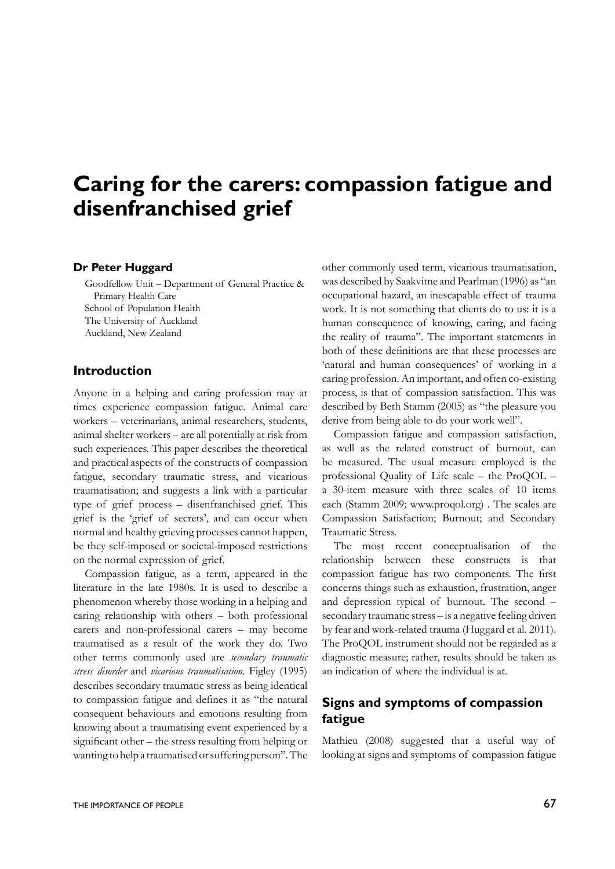# **Caring for the carers: compassion fatigue and disenfranchised grief**

#### **Dr Peter Huggard**

Goodfellow Unit – Department of General Practice & Primary Health Care School of Population Health The University of Auckland Auckland, New Zealand

#### **Introduction**

Anyone in a helping and caring profession may at times experience compassion fatigue. Animal care workers – veterinarians, animal researchers, students, animal shelter workers – are all potentially at risk from such experiences. This paper describes the theoretical and practical aspects of the constructs of compassion fatigue, secondary traumatic stress, and vicarious traumatisation; and suggests a link with a particular type of grief process – disenfranchised grief. This grief is the 'grief of secrets', and can occur when normal and healthy grieving processes cannot happen, be they self-imposed or societal-imposed restrictions on the normal expression of grief.

Compassion fatigue, as a term, appeared in the literature in the late 1980s. It is used to describe a phenomenon whereby those working in a helping and caring relationship with others – both professional carers and non-professional carers – may become traumatised as a result of the work they do. Two other terms commonly used are *secondary traumatic stress disorder* and *vicarious traumatisation*. Figley (1995) describes secondary traumatic stress as being identical to compassion fatigue and defines it as "the natural consequent behaviours and emotions resulting from knowing about a traumatising event experienced by a significant other – the stress resulting from helping or wanting to help a traumatised or suffering person". The

other commonly used term, vicarious traumatisation, was described by Saakvitne and Pearlman (1996) as "an occupational hazard, an inescapable effect of trauma work. It is not something that clients do to us: it is a human consequence of knowing, caring, and facing the reality of trauma". The important statements in both of these definitions are that these processes are 'natural and human consequences' of working in a caring profession. An important, and often co-existing process, is that of compassion satisfaction. This was described by Beth Stamm (2005) as "the pleasure you derive from being able to do your work well".

Compassion fatigue and compassion satisfaction, as well as the related construct of burnout, can be measured. The usual measure employed is the professional Quality of Life scale – the ProQOL – a 30-item measure with three scales of 10 items each (Stamm 2009; www.proqol.org) . The scales are Compassion Satisfaction; Burnout; and Secondary Traumatic Stress.

The most recent conceptualisation of the relationship between these constructs is that compassion fatigue has two components. The first concerns things such as exhaustion, frustration, anger and depression typical of burnout. The second – secondary traumatic stress – is a negative feeling driven by fear and work-related trauma (Huggard et al. 2011). The ProQOL instrument should not be regarded as a diagnostic measure; rather, results should be taken as an indication of where the individual is at.

# **Signs and symptoms of compassion fatigue**

Mathieu (2008) suggested that a useful way of looking at signs and symptoms of compassion fatigue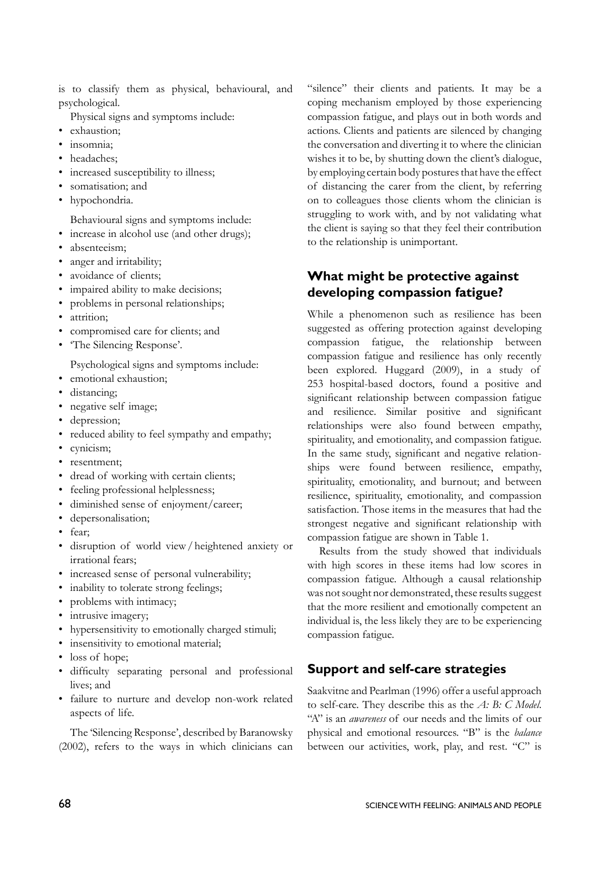is to classify them as physical, behavioural, and psychological.

Physical signs and symptoms include:

- exhaustion;
- insomnia;
- headaches:
- increased susceptibility to illness;
- somatisation; and
- hypochondria.

Behavioural signs and symptoms include:

- increase in alcohol use (and other drugs);
- absenteeism;
- anger and irritability;
- avoidance of clients;
- impaired ability to make decisions;
- problems in personal relationships;
- attrition;
- compromised care for clients; and
- 'The Silencing Response'.

Psychological signs and symptoms include:

- emotional exhaustion;
- distancing;
- negative self image;
- depression;
- reduced ability to feel sympathy and empathy;
- cynicism;
- resentment;
- dread of working with certain clients;
- feeling professional helplessness;
- diminished sense of enjoyment/career;
- depersonalisation;
- fear;
- disruption of world view/heightened anxiety or irrational fears;
- increased sense of personal vulnerability;
- inability to tolerate strong feelings;
- problems with intimacy;
- intrusive imagery;
- hypersensitivity to emotionally charged stimuli;
- insensitivity to emotional material;
- loss of hope;
- difficulty separating personal and professional lives; and
- failure to nurture and develop non-work related aspects of life.

The 'Silencing Response', described by Baranowsky (2002), refers to the ways in which clinicians can "silence" their clients and patients. It may be a coping mechanism employed by those experiencing compassion fatigue, and plays out in both words and actions. Clients and patients are silenced by changing the conversation and diverting it to where the clinician wishes it to be, by shutting down the client's dialogue, by employing certain body postures that have the effect of distancing the carer from the client, by referring on to colleagues those clients whom the clinician is struggling to work with, and by not validating what the client is saying so that they feel their contribution to the relationship is unimportant.

# **What might be protective against developing compassion fatigue?**

While a phenomenon such as resilience has been suggested as offering protection against developing compassion fatigue, the relationship between compassion fatigue and resilience has only recently been explored. Huggard (2009), in a study of 253 hospital-based doctors, found a positive and significant relationship between compassion fatigue and resilience. Similar positive and significant relationships were also found between empathy, spirituality, and emotionality, and compassion fatigue. In the same study, significant and negative relationships were found between resilience, empathy, spirituality, emotionality, and burnout; and between resilience, spirituality, emotionality, and compassion satisfaction. Those items in the measures that had the strongest negative and significant relationship with compassion fatigue are shown in Table 1.

Results from the study showed that individuals with high scores in these items had low scores in compassion fatigue. Although a causal relationship was not sought nor demonstrated, these results suggest that the more resilient and emotionally competent an individual is, the less likely they are to be experiencing compassion fatigue.

#### **Support and self-care strategies**

Saakvitne and Pearlman (1996) offer a useful approach to self-care. They describe this as the *A: B: C Model*. "A" is an *awareness* of our needs and the limits of our physical and emotional resources. "B" is the *balance* between our activities, work, play, and rest. "C" is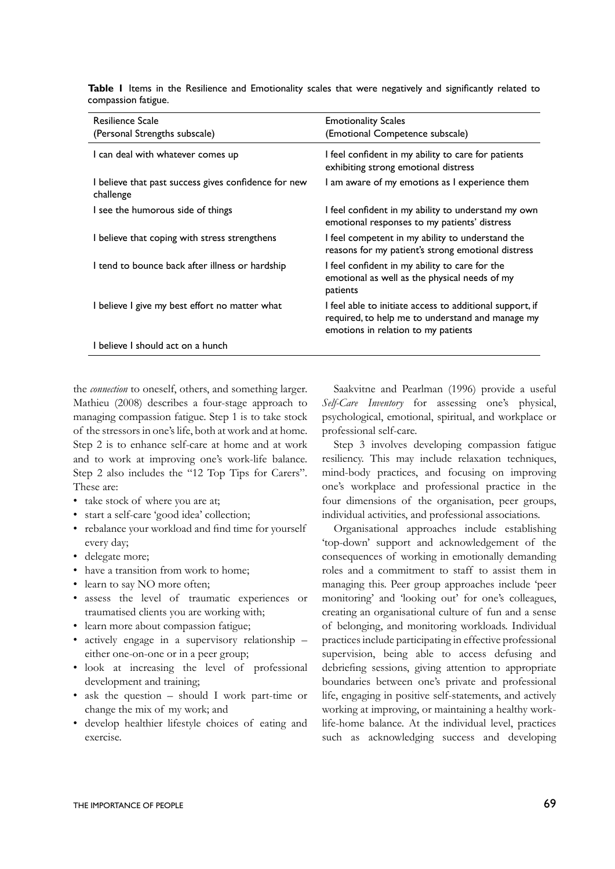| <b>Resilience Scale</b>                                           | <b>Emotionality Scales</b>                                                                                                                          |
|-------------------------------------------------------------------|-----------------------------------------------------------------------------------------------------------------------------------------------------|
| (Personal Strengths subscale)                                     | (Emotional Competence subscale)                                                                                                                     |
| I can deal with whatever comes up                                 | I feel confident in my ability to care for patients<br>exhibiting strong emotional distress                                                         |
| I believe that past success gives confidence for new<br>challenge | I am aware of my emotions as I experience them                                                                                                      |
| I see the humorous side of things                                 | I feel confident in my ability to understand my own<br>emotional responses to my patients' distress                                                 |
| I believe that coping with stress strengthens                     | I feel competent in my ability to understand the<br>reasons for my patient's strong emotional distress                                              |
| I tend to bounce back after illness or hardship                   | I feel confident in my ability to care for the<br>emotional as well as the physical needs of my<br>patients                                         |
| I believe I give my best effort no matter what                    | I feel able to initiate access to additional support, if<br>required, to help me to understand and manage my<br>emotions in relation to my patients |
| I believe I should act on a hunch                                 |                                                                                                                                                     |

**Table 1** Items in the Resilience and Emotionality scales that were negatively and significantly related to compassion fatigue.

the *connection* to oneself, others, and something larger. Mathieu (2008) describes a four-stage approach to managing compassion fatigue. Step 1 is to take stock of the stressors in one's life, both at work and at home. Step 2 is to enhance self-care at home and at work and to work at improving one's work-life balance. Step 2 also includes the "12 Top Tips for Carers". These are:

- take stock of where you are at;
- start a self-care 'good idea' collection;
- rebalance your workload and find time for yourself every day;
- delegate more:
- have a transition from work to home;
- learn to say NO more often:
- assess the level of traumatic experiences or traumatised clients you are working with;
- learn more about compassion fatigue;
- actively engage in a supervisory relationship either one-on-one or in a peer group;
- look at increasing the level of professional development and training;
- ask the question should I work part-time or change the mix of my work; and
- develop healthier lifestyle choices of eating and exercise.

Saakvitne and Pearlman (1996) provide a useful *Self-Care Inventory* for assessing one's physical, psychological, emotional, spiritual, and workplace or professional self-care.

Step 3 involves developing compassion fatigue resiliency. This may include relaxation techniques, mind-body practices, and focusing on improving one's workplace and professional practice in the four dimensions of the organisation, peer groups, individual activities, and professional associations.

Organisational approaches include establishing 'top-down' support and acknowledgement of the consequences of working in emotionally demanding roles and a commitment to staff to assist them in managing this. Peer group approaches include 'peer monitoring' and 'looking out' for one's colleagues, creating an organisational culture of fun and a sense of belonging, and monitoring workloads. Individual practices include participating in effective professional supervision, being able to access defusing and debriefing sessions, giving attention to appropriate boundaries between one's private and professional life, engaging in positive self-statements, and actively working at improving, or maintaining a healthy worklife-home balance. At the individual level, practices such as acknowledging success and developing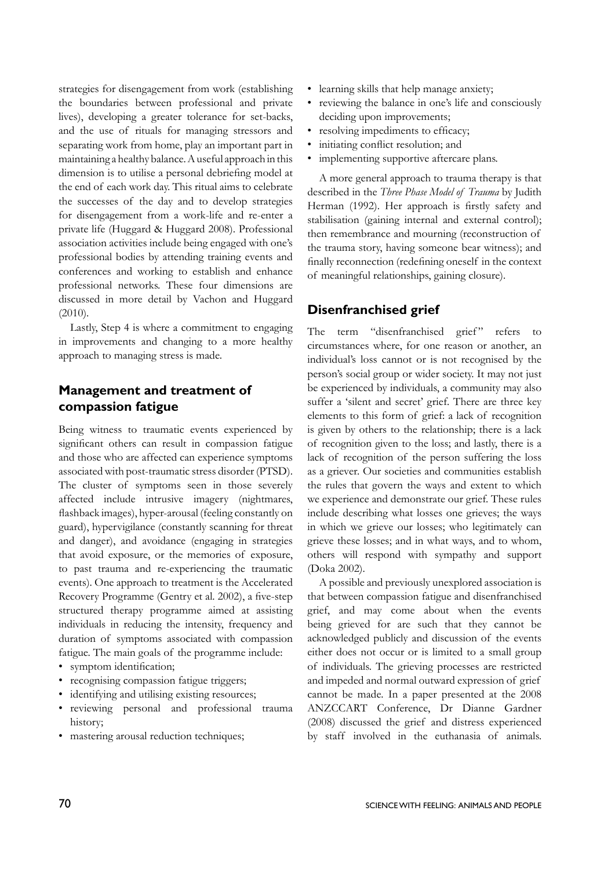strategies for disengagement from work (establishing the boundaries between professional and private lives), developing a greater tolerance for set-backs, and the use of rituals for managing stressors and separating work from home, play an important part in maintaining a healthy balance. A useful approach in this dimension is to utilise a personal debriefing model at the end of each work day. This ritual aims to celebrate the successes of the day and to develop strategies for disengagement from a work-life and re-enter a private life (Huggard & Huggard 2008). Professional association activities include being engaged with one's professional bodies by attending training events and conferences and working to establish and enhance professional networks. These four dimensions are discussed in more detail by Vachon and Huggard (2010).

Lastly, Step 4 is where a commitment to engaging in improvements and changing to a more healthy approach to managing stress is made.

## **Management and treatment of compassion fatigue**

Being witness to traumatic events experienced by significant others can result in compassion fatigue and those who are affected can experience symptoms associated with post-traumatic stress disorder (PTSD). The cluster of symptoms seen in those severely affected include intrusive imagery (nightmares, flashback images), hyper-arousal (feeling constantly on guard), hypervigilance (constantly scanning for threat and danger), and avoidance (engaging in strategies that avoid exposure, or the memories of exposure, to past trauma and re-experiencing the traumatic events). One approach to treatment is the Accelerated Recovery Programme (Gentry et al. 2002), a five-step structured therapy programme aimed at assisting individuals in reducing the intensity, frequency and duration of symptoms associated with compassion fatigue. The main goals of the programme include:

- symptom identification;
- recognising compassion fatigue triggers;
- identifying and utilising existing resources;
- reviewing personal and professional trauma history;
- mastering arousal reduction techniques;
- learning skills that help manage anxiety;
- reviewing the balance in one's life and consciously deciding upon improvements;
- resolving impediments to efficacy;
- initiating conflict resolution; and
- implementing supportive aftercare plans.

A more general approach to trauma therapy is that described in the *Three Phase Model of Trauma* by Judith Herman (1992). Her approach is firstly safety and stabilisation (gaining internal and external control); then remembrance and mourning (reconstruction of the trauma story, having someone bear witness); and finally reconnection (redefining oneself in the context of meaningful relationships, gaining closure).

## **Disenfranchised grief**

The term "disenfranchised grief" refers to circumstances where, for one reason or another, an individual's loss cannot or is not recognised by the person's social group or wider society. It may not just be experienced by individuals, a community may also suffer a 'silent and secret' grief. There are three key elements to this form of grief: a lack of recognition is given by others to the relationship; there is a lack of recognition given to the loss; and lastly, there is a lack of recognition of the person suffering the loss as a griever. Our societies and communities establish the rules that govern the ways and extent to which we experience and demonstrate our grief. These rules include describing what losses one grieves; the ways in which we grieve our losses; who legitimately can grieve these losses; and in what ways, and to whom, others will respond with sympathy and support (Doka 2002).

A possible and previously unexplored association is that between compassion fatigue and disenfranchised grief, and may come about when the events being grieved for are such that they cannot be acknowledged publicly and discussion of the events either does not occur or is limited to a small group of individuals. The grieving processes are restricted and impeded and normal outward expression of grief cannot be made. In a paper presented at the 2008 ANZCCART Conference, Dr Dianne Gardner (2008) discussed the grief and distress experienced by staff involved in the euthanasia of animals.